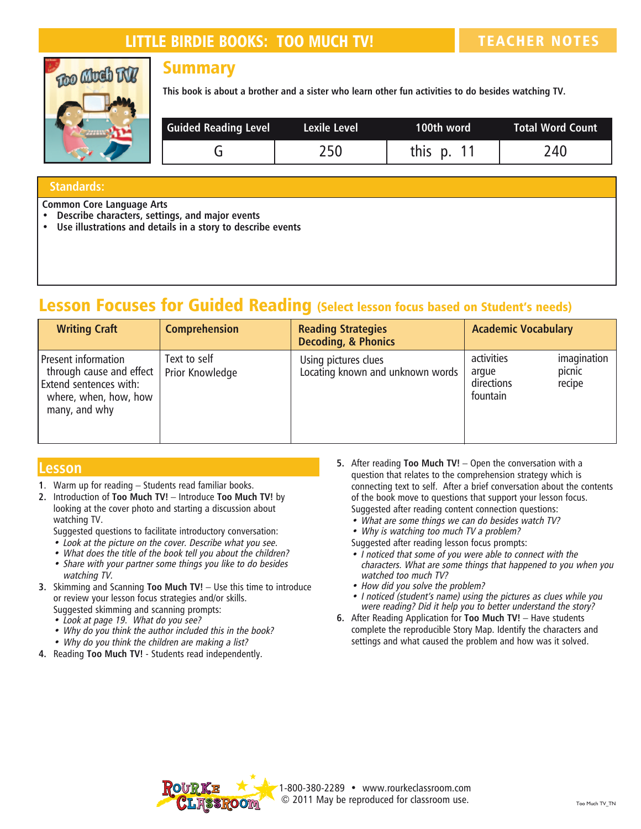## LITTLE BIRDIE BOOKS: TOO MUCH TV! TEACHER NOTES



#### **Summary**

**This book is about a brother and a sister who learn other fun activities to do besides watching TV.**

| <b>Guided Reading Level</b> | Lexile Level | 100th word   | Total Word Count |
|-----------------------------|--------------|--------------|------------------|
|                             | 250          | this $p. 11$ | 240              |

#### **Standards:**

**Common Core Language Arts**

- **• Describe characters, settings, and major events**
- **• Use illustrations and details in a story to describe events**

## Lesson Focuses for Guided Reading (Select lesson focus based on Student's needs)

| <b>Writing Craft</b>                                                                                                  | <b>Comprehension</b>            | <b>Reading Strategies</b><br><b>Decoding, &amp; Phonics</b> | <b>Academic Vocabulary</b>                                                       |
|-----------------------------------------------------------------------------------------------------------------------|---------------------------------|-------------------------------------------------------------|----------------------------------------------------------------------------------|
| Present information<br>through cause and effect  <br>Extend sentences with:<br>where, when, how, how<br>many, and why | Text to self<br>Prior Knowledge | Using pictures clues<br>Locating known and unknown words    | imagination<br>activities<br>picnic<br>argue<br>directions<br>recipe<br>fountain |

#### **Lesson**

- **1**. Warm up for reading Students read familiar books.
- **2.** Introduction of **Too Much TV!** Introduce **Too Much TV!** by looking at the cover photo and starting a discussion about watching TV.
	- Suggested questions to facilitate introductory conversation:
	- Look at the picture on the cover. Describe what you see.
	- What does the title of the book tell you about the children?
	- Share with your partner some things you like to do besides watching TV.
- **3.** Skimming and Scanning **Too Much TV!**  Use this time to introduce or review your lesson focus strategies and/or skills. Suggested skimming and scanning prompts:
	- Look at page 19. What do you see?
	- Why do you think the author included this in the book?
	- Why do you think the children are making a list?
- **4.** Reading **Too Much TV!** Students read independently.
- **5.** After reading **Too Much TV!** Open the conversation with a question that relates to the comprehension strategy which is connecting text to self. After a brief conversation about the contents of the book move to questions that support your lesson focus. Suggested after reading content connection questions:
	- What are some things we can do besides watch TV?
	- Why is watching too much TV a problem?
	- Suggested after reading lesson focus prompts:
	- I noticed that some of you were able to connect with the characters. What are some things that happened to you when you watched too much TV?
	- How did you solve the problem?
	- I noticed (student's name) using the pictures as clues while you were reading? Did it help you to better understand the story?
- **6.** After Reading Application for **Too Much TV!** Have students complete the reproducible Story Map. Identify the characters and settings and what caused the problem and how was it solved.



1-800-380-2289 • www.rourkeclassroom.com © 2011 May be reproduced for classroom use.